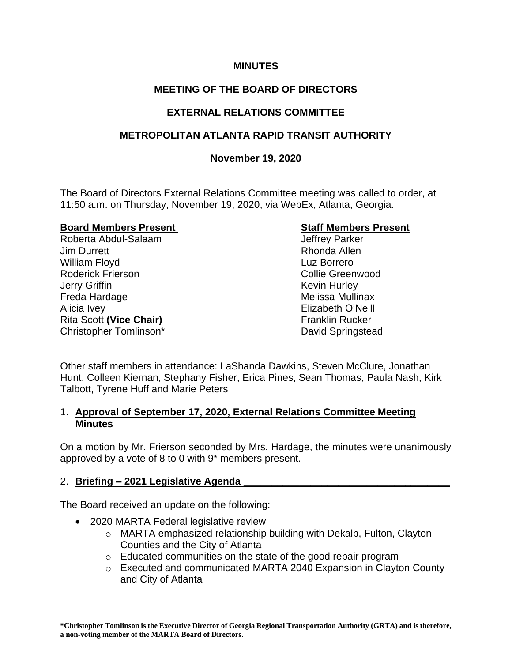## **MINUTES**

# **MEETING OF THE BOARD OF DIRECTORS**

# **EXTERNAL RELATIONS COMMITTEE**

# **METROPOLITAN ATLANTA RAPID TRANSIT AUTHORITY**

## **November 19, 2020**

The Board of Directors External Relations Committee meeting was called to order, at 11:50 a.m. on Thursday, November 19, 2020, via WebEx, Atlanta, Georgia.

#### **Board Members Present Communist Communist Communist Communist Communist Communist Communist Communist Communist Communist Communist Communist Communist Communist Communist Communist Communist Communist Communist Communist**

Roberta Abdul-Salaam Jeffrey Parker Jim Durrett Rhonda Allen William Floyd **Luz Borrero** Roderick Frierson **Collie Greenwood Jerry Griffin** Kevin Hurley **Kevin Hurley** Freda Hardage **Melissa Mullinax** Alicia Ivey **Alicia Ivey Elizabeth O'Neill** Rita Scott (Vice Chair) **Fichary** Franklin Rucker Christopher Tomlinson\* David Springstead

Other staff members in attendance: LaShanda Dawkins, Steven McClure, Jonathan Hunt, Colleen Kiernan, Stephany Fisher, Erica Pines, Sean Thomas, Paula Nash, Kirk Talbott, Tyrene Huff and Marie Peters

## 1. **Approval of September 17, 2020, External Relations Committee Meeting Minutes**

On a motion by Mr. Frierson seconded by Mrs. Hardage, the minutes were unanimously approved by a vote of 8 to 0 with 9\* members present.

# 2. **Briefing – 2021 Legislative Agenda \_\_\_\_\_\_\_\_\_\_\_\_\_\_\_\_\_\_\_\_\_\_\_\_\_\_\_\_\_\_\_\_\_\_\_\_\_**

The Board received an update on the following:

- 2020 MARTA Federal legislative review
	- o MARTA emphasized relationship building with Dekalb, Fulton, Clayton Counties and the City of Atlanta
	- o Educated communities on the state of the good repair program
	- o Executed and communicated MARTA 2040 Expansion in Clayton County and City of Atlanta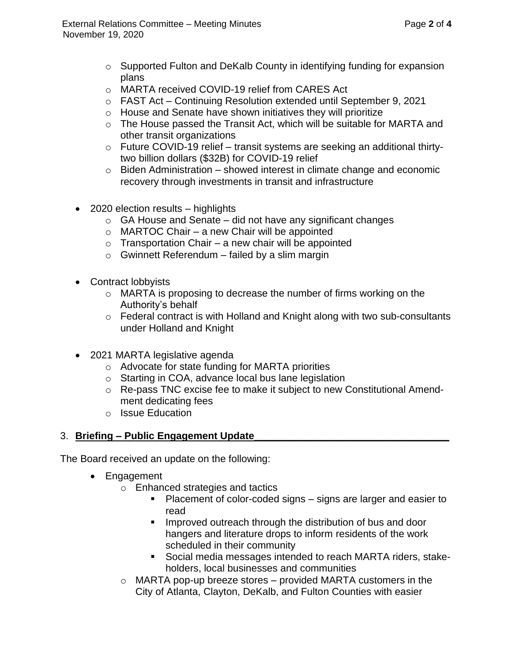- $\circ$  Supported Fulton and DeKalb County in identifying funding for expansion plans
- o MARTA received COVID-19 relief from CARES Act
- $\circ$  FAST Act Continuing Resolution extended until September 9, 2021
- o House and Senate have shown initiatives they will prioritize
- o The House passed the Transit Act, which will be suitable for MARTA and other transit organizations
- o Future COVID-19 relief transit systems are seeking an additional thirtytwo billion dollars (\$32B) for COVID-19 relief
- $\circ$  Biden Administration showed interest in climate change and economic recovery through investments in transit and infrastructure
- 2020 election results highlights
	- $\circ$  GA House and Senate did not have any significant changes
	- $\circ$  MARTOC Chair a new Chair will be appointed
	- $\circ$  Transportation Chair a new chair will be appointed
	- $\circ$  Gwinnett Referendum failed by a slim margin
- Contract lobbyists
	- o MARTA is proposing to decrease the number of firms working on the Authority's behalf
	- o Federal contract is with Holland and Knight along with two sub-consultants under Holland and Knight
- 2021 MARTA legislative agenda
	- o Advocate for state funding for MARTA priorities
	- o Starting in COA, advance local bus lane legislation
	- o Re-pass TNC excise fee to make it subject to new Constitutional Amendment dedicating fees
	- o Issue Education

# 3. **Briefing – Public Engagement Update\_\_\_\_\_\_\_\_\_\_\_\_\_\_\_\_\_\_\_\_\_\_\_\_\_\_\_\_\_\_\_\_\_\_\_**

The Board received an update on the following:

- Engagement
	- o Enhanced strategies and tactics
		- Placement of color-coded signs signs are larger and easier to read
		- Improved outreach through the distribution of bus and door hangers and literature drops to inform residents of the work scheduled in their community
		- Social media messages intended to reach MARTA riders, stakeholders, local businesses and communities
	- $\circ$  MARTA pop-up breeze stores provided MARTA customers in the City of Atlanta, Clayton, DeKalb, and Fulton Counties with easier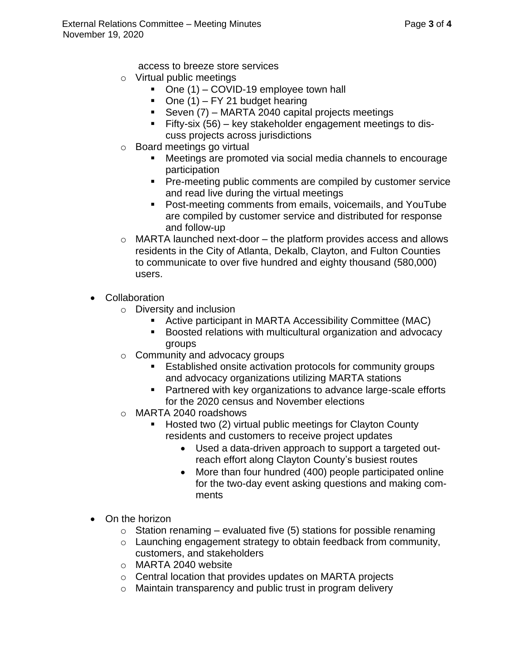access to breeze store services

- o Virtual public meetings
	- One (1) COVID-19 employee town hall
	- $\blacksquare$  One (1) FY 21 budget hearing
	- **•** Seven  $(7)$  MARTA 2040 capital projects meetings
	- Fifty-six (56) key stakeholder engagement meetings to discuss projects across jurisdictions
- o Board meetings go virtual
	- Meetings are promoted via social media channels to encourage participation
	- Pre-meeting public comments are compiled by customer service and read live during the virtual meetings
	- Post-meeting comments from emails, voicemails, and YouTube are compiled by customer service and distributed for response and follow-up
- $\circ$  MARTA launched next-door the platform provides access and allows residents in the City of Atlanta, Dekalb, Clayton, and Fulton Counties to communicate to over five hundred and eighty thousand (580,000) users.
- Collaboration
	- o Diversity and inclusion
		- Active participant in MARTA Accessibility Committee (MAC)
		- Boosted relations with multicultural organization and advocacy groups
	- o Community and advocacy groups
		- Established onsite activation protocols for community groups and advocacy organizations utilizing MARTA stations
		- Partnered with key organizations to advance large-scale efforts for the 2020 census and November elections
	- o MARTA 2040 roadshows
		- Hosted two (2) virtual public meetings for Clayton County residents and customers to receive project updates
			- Used a data-driven approach to support a targeted outreach effort along Clayton County's busiest routes
			- More than four hundred (400) people participated online for the two-day event asking questions and making comments
- On the horizon
	- $\circ$  Station renaming evaluated five (5) stations for possible renaming
	- o Launching engagement strategy to obtain feedback from community, customers, and stakeholders
	- o MARTA 2040 website
	- o Central location that provides updates on MARTA projects
	- o Maintain transparency and public trust in program delivery